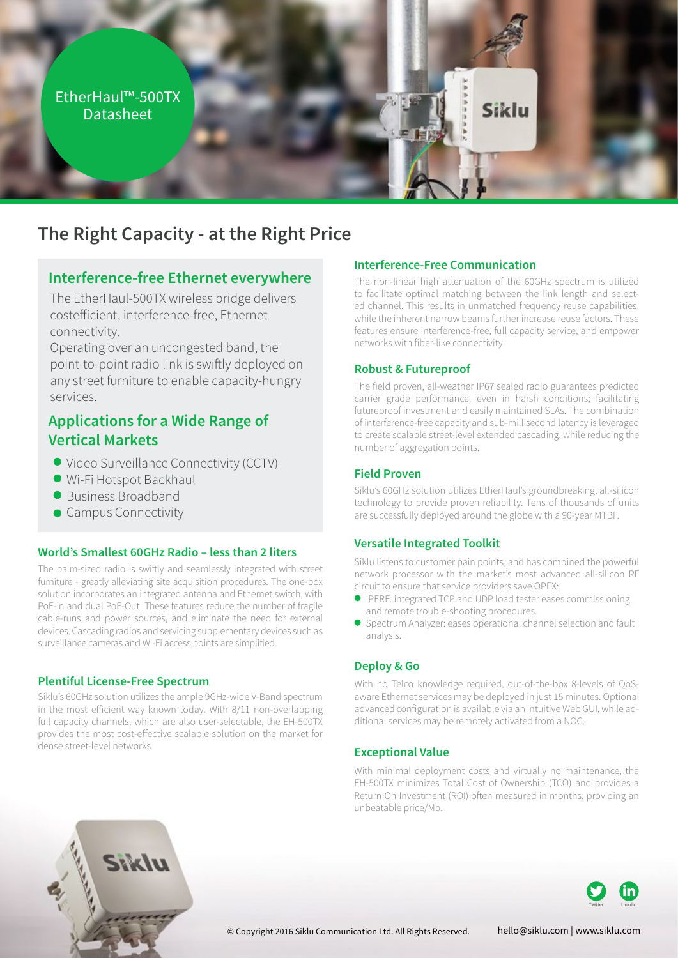

# **The Right Capacity - at the Right Price**

## **Interference-free Ethernet everywhere**

The EtherHaul-500TX wireless bridge delivers costefficient, interference-free, Ethernet .connectivity

Operating over an uncongested band, the point-to-point radio link is swiftly deployed on any street furniture to enable capacity-hungry services.

# **Applications for a Wide Range of Markets Vertical**

- Video Surveillance Connectivity (CCTV)
- · Wi-Fi Hotspot Backhaul
- **Business Broadband**
- **Campus Connectivity**

#### **World's Smallest 60GHz Radio – less than 2 liters**

The palm-sized radio is swiftly and seamlessly integrated with street furniture - greatly alleviating site acquisition procedures. The one-box solution incorporates an integrated antenna and Ethernet switch, with PoE-In and dual PoE-Out. These features reduce the number of fragile cable-runs and power sources, and eliminate the need for external devices. Cascading radios and servicing supplementary devices such as surveillance cameras and Wi-Fi access points are simplified.

#### **Plentiful License-Free Spectrum**

Siklu's 60GHz solution utilizes the ample 9GHz-wide V-Band spectrum in the most efficient way known today. With 8/11 non-overlapping full capacity channels, which are also user-selectable, the EH-500TX provides the most cost-effective scalable solution on the market for dense street-level networks.

#### **Interference-Free Communication**

The non-linear high attenuation of the 60GHz spectrum is utilized ed channel. This results in unmatched frequency reuse capabilities, to facilitate optimal matching between the link length and selectwhile the inherent narrow beams further increase reuse factors. These features ensure interference-free, full capacity service, and empower networks with fiber-like connectivity.

#### **Futureproof & Robust**

The field proven, all-weather IP67 sealed radio guarantees predicted carrier grade performance, even in harsh conditions; facilitating futureproof investment and easily maintained SLAs. The combination of interference-free capacity and sub-millisecond latency is leveraged to create scalable street-level extended cascading, while reducing the number of aggregation points.

### **Field Proven**

Siklu's 60GHz solution utilizes EtherHaul's groundbreaking, all-silicon technology to provide proven reliability. Tens of thousands of units are successfully deployed around the globe with a 90-year MTBF.

### **Versatile Integrated Toolkit**

Siklu listens to customer pain points, and has combined the powerful network processor with the market's most advanced all-silicon RF circuit to ensure that service providers save OPEX:

- **IPERF: integrated TCP and UDP load tester eases commissioning** and remote trouble-shooting procedures.
- Spectrum Analyzer: eases operational channel selection and fault .analysis

### **Deploy & Go**

aware Ethernet services may be deployed in just 15 minutes. Optional With no Telco knowledge required, out-of-the-box 8-levels of QoSadvanced configuration is available via an intuitive Web GUI, while ad-<br>ditional services may be remotely activated from a NOC.

#### **Exceptional Value**

With minimal deployment costs and virtually no maintenance, the EH-500TX minimizes Total Cost of Ownership (TCO) and provides a Return On Investment (ROI) often measured in months; providing an unbeatable price/Mb.